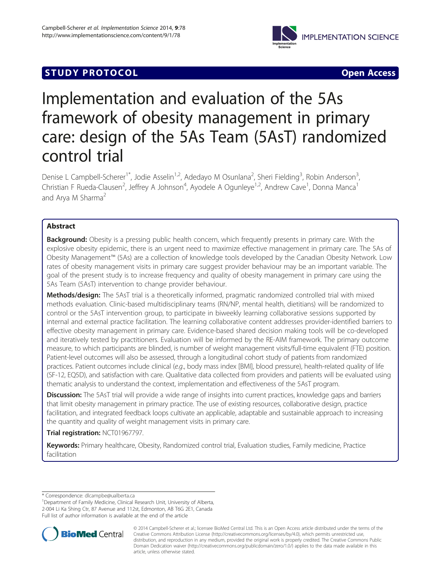

# **STUDY PROTOCOL** CONTROL CONTROL CONTROL CONTROL CONTROL CONTROL CONTROL CONTROL CONTROL CONTROL CONTROL CONTROL CONTROL CONTROL CONTROL CONTROL CONTROL CONTROL CONTROL CONTROL CONTROL CONTROL CONTROL CONTROL CONTROL CONTR

# Implementation and evaluation of the 5As framework of obesity management in primary care: design of the 5As Team (5AsT) randomized control trial

Denise L Campbell-Scherer<sup>1\*</sup>, Jodie Asselin<sup>1,2</sup>, Adedayo M Osunlana<sup>2</sup>, Sheri Fielding<sup>3</sup>, Robin Anderson<sup>3</sup> , Christian F Rueda-Clausen<sup>2</sup>, Jeffrey A Johnson<sup>4</sup>, Ayodele A Ogunleye<sup>1,2</sup>, Andrew Cave<sup>1</sup>, Donna Manca<sup>1</sup> and Arya M Sharma<sup>2</sup>

# Abstract

**Background:** Obesity is a pressing public health concern, which frequently presents in primary care. With the explosive obesity epidemic, there is an urgent need to maximize effective management in primary care. The 5As of Obesity Management™ (5As) are a collection of knowledge tools developed by the Canadian Obesity Network. Low rates of obesity management visits in primary care suggest provider behaviour may be an important variable. The goal of the present study is to increase frequency and quality of obesity management in primary care using the 5As Team (5AsT) intervention to change provider behaviour.

Methods/design: The 5AsT trial is a theoretically informed, pragmatic randomized controlled trial with mixed methods evaluation. Clinic-based multidisciplinary teams (RN/NP, mental health, dietitians) will be randomized to control or the 5AsT intervention group, to participate in biweekly learning collaborative sessions supported by internal and external practice facilitation. The learning collaborative content addresses provider-identified barriers to effective obesity management in primary care. Evidence-based shared decision making tools will be co-developed and iteratively tested by practitioners. Evaluation will be informed by the RE-AIM framework. The primary outcome measure, to which participants are blinded, is number of weight management visits/full-time equivalent (FTE) position. Patient-level outcomes will also be assessed, through a longitudinal cohort study of patients from randomized practices. Patient outcomes include clinical (e.g., body mass index [BMI], blood pressure), health-related quality of life (SF-12, EQ5D), and satisfaction with care. Qualitative data collected from providers and patients will be evaluated using thematic analysis to understand the context, implementation and effectiveness of the 5AsT program.

Discussion: The 5AsT trial will provide a wide range of insights into current practices, knowledge gaps and barriers that limit obesity management in primary practice. The use of existing resources, collaborative design, practice facilitation, and integrated feedback loops cultivate an applicable, adaptable and sustainable approach to increasing the quantity and quality of weight management visits in primary care.

Trial registration: [NCT01967797](http://www.clinicaltrials.gov/ct2/show/NCT01967797).

Keywords: Primary healthcare, Obesity, Randomized control trial, Evaluation studies, Family medicine, Practice facilitation

\* Correspondence: [dlcampbe@ualberta.ca](mailto:dlcampbe@ualberta.ca) <sup>1</sup>

<sup>1</sup>Department of Family Medicine, Clinical Research Unit, University of Alberta, 2-004 Li Ka Shing Ctr, 87 Avenue and 112st, Edmonton, AB T6G 2E1, Canada Full list of author information is available at the end of the article



<sup>© 2014</sup> Campbell-Scherer et al.; licensee BioMed Central Ltd. This is an Open Access article distributed under the terms of the Creative Commons Attribution License (<http://creativecommons.org/licenses/by/4.0>), which permits unrestricted use, distribution, and reproduction in any medium, provided the original work is properly credited. The Creative Commons Public Domain Dedication waiver [\(http://creativecommons.org/publicdomain/zero/1.0/\)](http://creativecommons.org/publicdomain/zero/1.0/) applies to the data made available in this article, unless otherwise stated.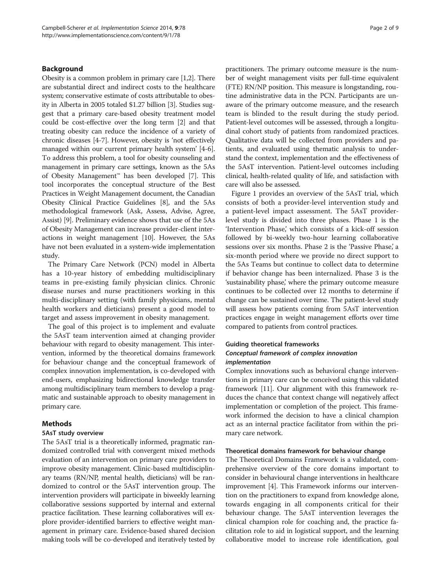# Background

Obesity is a common problem in primary care [\[1,2\]](#page-8-0). There are substantial direct and indirect costs to the healthcare system; conservative estimate of costs attributable to obesity in Alberta in 2005 totaled \$1.27 billion [\[3](#page-8-0)]. Studies suggest that a primary care-based obesity treatment model could be cost-effective over the long term [[2\]](#page-8-0) and that treating obesity can reduce the incidence of a variety of chronic diseases [[4-7\]](#page-8-0). However, obesity is 'not effectively managed within our current primary health system' [\[4](#page-8-0)-[6](#page-8-0)]. To address this problem, a tool for obesity counseling and management in primary care settings, known as the 5As of Obesity Management™ has been developed [[7\]](#page-8-0). This tool incorporates the conceptual structure of the Best Practices in Weight Management document, the Canadian Obesity Clinical Practice Guidelines [\[8](#page-8-0)], and the 5As methodological framework (Ask, Assess, Advise, Agree, Assist) [\[9\]](#page-8-0). Preliminary evidence shows that use of the 5As of Obesity Management can increase provider-client interactions in weight management [[10](#page-8-0)]. However, the 5As have not been evaluated in a system-wide implementation study.

The Primary Care Network (PCN) model in Alberta has a 10-year history of embedding multidisciplinary teams in pre-existing family physician clinics. Chronic disease nurses and nurse practitioners working in this multi-disciplinary setting (with family physicians, mental health workers and dieticians) present a good model to target and assess improvement in obesity management.

The goal of this project is to implement and evaluate the 5AsT team intervention aimed at changing provider behaviour with regard to obesity management. This intervention, informed by the theoretical domains framework for behaviour change and the conceptual framework of complex innovation implementation, is co-developed with end-users, emphasizing bidirectional knowledge transfer among multidisciplinary team members to develop a pragmatic and sustainable approach to obesity management in primary care.

#### Methods

#### 5AsT study overview

The 5AsT trial is a theoretically informed, pragmatic randomized controlled trial with convergent mixed methods evaluation of an intervention on primary care providers to improve obesity management. Clinic-based multidisciplinary teams (RN/NP, mental health, dieticians) will be randomized to control or the 5AsT intervention group. The intervention providers will participate in biweekly learning collaborative sessions supported by internal and external practice facilitation. These learning collaboratives will explore provider-identified barriers to effective weight management in primary care. Evidence-based shared decision making tools will be co-developed and iteratively tested by practitioners. The primary outcome measure is the number of weight management visits per full-time equivalent (FTE) RN/NP position. This measure is longstanding, routine administrative data in the PCN. Participants are unaware of the primary outcome measure, and the research team is blinded to the result during the study period. Patient-level outcomes will be assessed, through a longitudinal cohort study of patients from randomized practices. Qualitative data will be collected from providers and patients, and evaluated using thematic analysis to understand the context, implementation and the effectiveness of the 5AsT intervention. Patient-level outcomes including clinical, health-related quality of life, and satisfaction with care will also be assessed.

Figure [1](#page-2-0) provides an overview of the 5AsT trial, which consists of both a provider-level intervention study and a patient-level impact assessment. The 5AsT providerlevel study is divided into three phases. Phase 1 is the 'Intervention Phase,' which consists of a kick-off session followed by bi-weekly two-hour learning collaborative sessions over six months. Phase 2 is the 'Passive Phase,' a six-month period where we provide no direct support to the 5As Teams but continue to collect data to determine if behavior change has been internalized. Phase 3 is the 'sustainability phase,' where the primary outcome measure continues to be collected over 12 months to determine if change can be sustained over time. The patient-level study will assess how patients coming from 5AsT intervention practices engage in weight management efforts over time compared to patients from control practices.

# Guiding theoretical frameworks Conceptual framework of complex innovation implementation

Complex innovations such as behavioral change interventions in primary care can be conceived using this validated framework [\[11\]](#page-8-0). Our alignment with this framework reduces the chance that context change will negatively affect implementation or completion of the project. This framework informed the decision to have a clinical champion act as an internal practice facilitator from within the primary care network.

#### Theoretical domains framework for behaviour change

The Theoretical Domains Framework is a validated, comprehensive overview of the core domains important to consider in behavioural change interventions in healthcare improvement [\[4](#page-8-0)]. This Framework informs our intervention on the practitioners to expand from knowledge alone, towards engaging in all components critical for their behaviour change. The 5AsT intervention leverages the clinical champion role for coaching and, the practice facilitation role to aid in logistical support, and the learning collaborative model to increase role identification, goal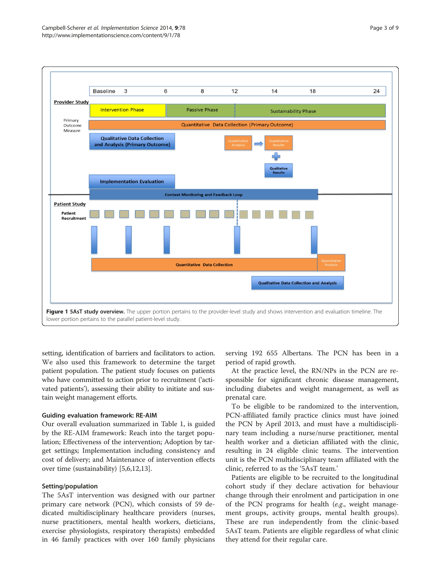<span id="page-2-0"></span>

setting, identification of barriers and facilitators to action. We also used this framework to determine the target patient population. The patient study focuses on patients who have committed to action prior to recruitment ('activated patients'), assessing their ability to initiate and sustain weight management efforts.

#### Guiding evaluation framework: RE-AIM

Our overall evaluation summarized in Table [1,](#page-3-0) is guided by the RE-AIM framework: Reach into the target population; Effectiveness of the intervention; Adoption by target settings; Implementation including consistency and cost of delivery; and Maintenance of intervention effects over time (sustainability) [\[5,6,12,13](#page-8-0)].

#### Setting/population

The 5AsT intervention was designed with our partner primary care network (PCN), which consists of 59 dedicated multidisciplinary healthcare providers (nurses, nurse practitioners, mental health workers, dieticians, exercise physiologists, respiratory therapists) embedded in 46 family practices with over 160 family physicians serving 192 655 Albertans. The PCN has been in a period of rapid growth.

At the practice level, the RN/NPs in the PCN are responsible for significant chronic disease management, including diabetes and weight management, as well as prenatal care.

To be eligible to be randomized to the intervention, PCN-affiliated family practice clinics must have joined the PCN by April 2013, and must have a multidisciplinary team including a nurse/nurse practitioner, mental health worker and a dietician affiliated with the clinic, resulting in 24 eligible clinic teams. The intervention unit is the PCN multidisciplinary team affiliated with the clinic, referred to as the '5AsT team.'

Patients are eligible to be recruited to the longitudinal cohort study if they declare activation for behaviour change through their enrolment and participation in one of the PCN programs for health (e.g., weight management groups, activity groups, mental health groups). These are run independently from the clinic-based 5AsT team. Patients are eligible regardless of what clinic they attend for their regular care.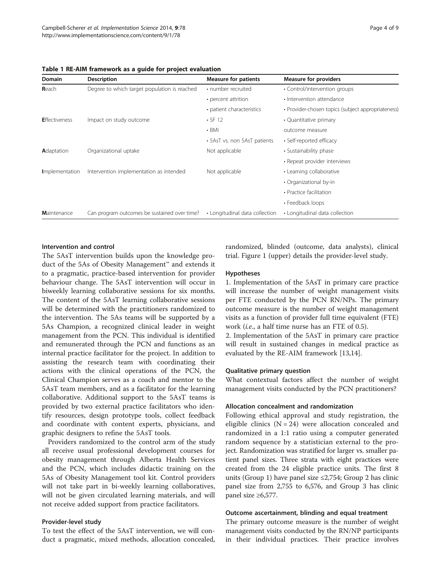| <b>Domain</b>        | <b>Description</b>                           | <b>Measure for patients</b>    | <b>Measure for providers</b>                       |
|----------------------|----------------------------------------------|--------------------------------|----------------------------------------------------|
| Reach                | Degree to which target population is reached | • number recruited             | • Control/intervention groups                      |
|                      |                                              | • percent attrition            | • Intervention attendance                          |
|                      |                                              | · patient characteristics      | • Provider-chosen topics (subject appropriateness) |
| <b>Effectiveness</b> | Impact on study outcome                      | $\cdot$ SF 12                  | • Quantitative primary                             |
|                      |                                              | $\cdot$ BMI                    | outcome measure                                    |
|                      |                                              | • 5AsT vs. non 5AsT patients   | • Self-reported efficacy                           |
| Adaptation           | Organizational uptake                        | Not applicable                 | • Sustainability phase                             |
|                      |                                              |                                | • Repeat provider interviews                       |
| Implementation       | Intervention implementation as intended      | Not applicable                 | • Learning collaborative                           |
|                      |                                              |                                | • Organizational by-in                             |
|                      |                                              |                                | • Practice facilitation                            |
|                      |                                              |                                | • Feedback loops                                   |
| <b>Maintenance</b>   | Can program outcomes be sustained over time? | • Longitudinal data collection | • Longitudinal data collection                     |

<span id="page-3-0"></span>Table 1 RE-AIM framework as a guide for project evaluation

# Intervention and control

The 5AsT intervention builds upon the knowledge product of the 5As of Obesity Management™ and extends it to a pragmatic, practice-based intervention for provider behaviour change. The 5AsT intervention will occur in biweekly learning collaborative sessions for six months. The content of the 5AsT learning collaborative sessions will be determined with the practitioners randomized to the intervention. The 5As teams will be supported by a 5As Champion, a recognized clinical leader in weight management from the PCN. This individual is identified and remunerated through the PCN and functions as an internal practice facilitator for the project. In addition to assisting the research team with coordinating their actions with the clinical operations of the PCN, the Clinical Champion serves as a coach and mentor to the 5AsT team members, and as a facilitator for the learning collaborative. Additional support to the 5AsT teams is provided by two external practice facilitators who identify resources, design prototype tools, collect feedback and coordinate with content experts, physicians, and graphic designers to refine the 5AsT tools.

Providers randomized to the control arm of the study all receive usual professional development courses for obesity management through Alberta Health Services and the PCN, which includes didactic training on the 5As of Obesity Management tool kit. Control providers will not take part in bi-weekly learning collaboratives, will not be given circulated learning materials, and will not receive added support from practice facilitators.

#### Provider-level study

To test the effect of the 5AsT intervention, we will conduct a pragmatic, mixed methods, allocation concealed, randomized, blinded (outcome, data analysts), clinical trial. Figure [1](#page-2-0) (upper) details the provider-level study.

# Hypotheses

1. Implementation of the 5AsT in primary care practice will increase the number of weight management visits per FTE conducted by the PCN RN/NPs. The primary outcome measure is the number of weight management visits as a function of provider full time equivalent (FTE) work (i.e., a half time nurse has an FTE of 0.5).

2. Implementation of the 5AsT in primary care practice will result in sustained changes in medical practice as evaluated by the RE-AIM framework [[13,14\]](#page-8-0).

#### Qualitative primary question

What contextual factors affect the number of weight management visits conducted by the PCN practitioners?

#### Allocation concealment and randomization

Following ethical approval and study registration, the eligible clinics  $(N = 24)$  were allocation concealed and randomized in a 1:1 ratio using a computer generated random sequence by a statistician external to the project. Randomization was stratified for larger vs. smaller patient panel sizes. Three strata with eight practices were created from the 24 eligible practice units. The first 8 units (Group 1) have panel size ≤2,754; Group 2 has clinic panel size from 2,755 to 6,576, and Group 3 has clinic panel size ≥6,577.

#### Outcome ascertainment, blinding and equal treatment

The primary outcome measure is the number of weight management visits conducted by the RN/NP participants in their individual practices. Their practice involves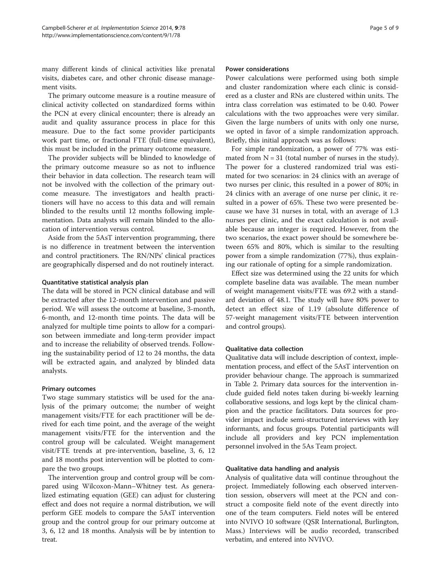many different kinds of clinical activities like prenatal visits, diabetes care, and other chronic disease management visits.

The primary outcome measure is a routine measure of clinical activity collected on standardized forms within the PCN at every clinical encounter; there is already an audit and quality assurance process in place for this measure. Due to the fact some provider participants work part time, or fractional FTE (full-time equivalent), this must be included in the primary outcome measure.

The provider subjects will be blinded to knowledge of the primary outcome measure so as not to influence their behavior in data collection. The research team will not be involved with the collection of the primary outcome measure. The investigators and health practitioners will have no access to this data and will remain blinded to the results until 12 months following implementation. Data analysts will remain blinded to the allocation of intervention versus control.

Aside from the 5AsT intervention programming, there is no difference in treatment between the intervention and control practitioners. The RN/NPs' clinical practices are geographically dispersed and do not routinely interact.

# Quantitative statistical analysis plan

The data will be stored in PCN clinical database and will be extracted after the 12-month intervention and passive period. We will assess the outcome at baseline, 3-month, 6-month, and 12-month time points. The data will be analyzed for multiple time points to allow for a comparison between immediate and long-term provider impact and to increase the reliability of observed trends. Following the sustainability period of 12 to 24 months, the data will be extracted again, and analyzed by blinded data analysts.

#### Primary outcomes

Two stage summary statistics will be used for the analysis of the primary outcome; the number of weight management visits/FTE for each practitioner will be derived for each time point, and the average of the weight management visits/FTE for the intervention and the control group will be calculated. Weight management visit/FTE trends at pre-intervention, baseline, 3, 6, 12 and 18 months post intervention will be plotted to compare the two groups.

The intervention group and control group will be compared using Wilcoxon-Mann–Whitney test. As generalized estimating equation (GEE) can adjust for clustering effect and does not require a normal distribution, we will perform GEE models to compare the 5AsT intervention group and the control group for our primary outcome at 3, 6, 12 and 18 months. Analysis will be by intention to treat.

#### Power considerations

Power calculations were performed using both simple and cluster randomization where each clinic is considered as a cluster and RNs are clustered within units. The intra class correlation was estimated to be 0.40. Power calculations with the two approaches were very similar. Given the large numbers of units with only one nurse, we opted in favor of a simple randomization approach. Briefly, this initial approach was as follows:

For simple randomization, a power of 77% was estimated from  $N = 31$  (total number of nurses in the study). The power for a clustered randomized trial was estimated for two scenarios: in 24 clinics with an average of two nurses per clinic, this resulted in a power of 80%; in 24 clinics with an average of one nurse per clinic, it resulted in a power of 65%. These two were presented because we have 31 nurses in total, with an average of 1.3 nurses per clinic, and the exact calculation is not available because an integer is required. However, from the two scenarios, the exact power should be somewhere between 65% and 80%, which is similar to the resulting power from a simple randomization (77%), thus explaining our rationale of opting for a simple randomization.

Effect size was determined using the 22 units for which complete baseline data was available. The mean number of weight management visits/FTE was 69.2 with a standard deviation of 48.1. The study will have 80% power to detect an effect size of 1.19 (absolute difference of 57-weight management visits/FTE between intervention and control groups).

#### Qualitative data collection

Qualitative data will include description of context, implementation process, and effect of the 5AsT intervention on provider behaviour change. The approach is summarized in Table [2.](#page-5-0) Primary data sources for the intervention include guided field notes taken during bi-weekly learning collaborative sessions, and logs kept by the clinical champion and the practice facilitators. Data sources for provider impact include semi-structured interviews with key informants, and focus groups. Potential participants will include all providers and key PCN implementation personnel involved in the 5As Team project.

### Qualitative data handling and analysis

Analysis of qualitative data will continue throughout the project. Immediately following each observed intervention session, observers will meet at the PCN and construct a composite field note of the event directly into one of the team computers. Field notes will be entered into NVIVO 10 software (QSR International, Burlington, Mass.) Interviews will be audio recorded, transcribed verbatim, and entered into NVIVO.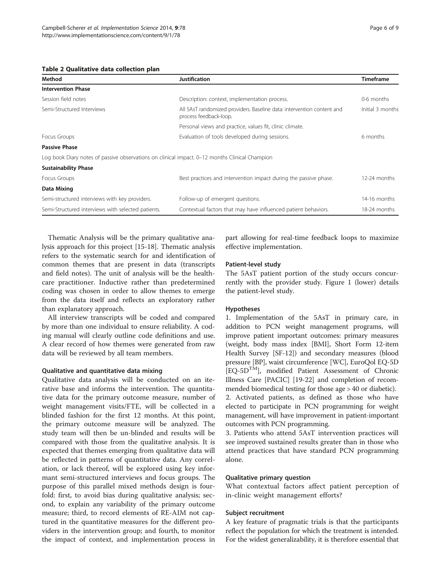#### <span id="page-5-0"></span>Table 2 Qualitative data collection plan

| Method                                                                                         | Justification                                                                                    | <b>Timeframe</b> |
|------------------------------------------------------------------------------------------------|--------------------------------------------------------------------------------------------------|------------------|
| <b>Intervention Phase</b>                                                                      |                                                                                                  |                  |
| Session field notes                                                                            | Description: context, implementation process.                                                    | 0-6 months       |
| Semi-Structured Interviews                                                                     | All 5AsT randomized providers. Baseline data: intervention content and<br>process feedback-loop. | Initial 3 months |
|                                                                                                | Personal views and practice, values fit, clinic climate.                                         |                  |
| Focus Groups                                                                                   | Evaluation of tools developed during sessions.                                                   | 6 months         |
| <b>Passive Phase</b>                                                                           |                                                                                                  |                  |
| Log book Diary notes of passive observations on clinical impact. 0–12 months Clinical Champion |                                                                                                  |                  |
| <b>Sustainability Phase</b>                                                                    |                                                                                                  |                  |
| Focus Groups                                                                                   | Best practices and intervention impact during the passive phase.                                 | 12-24 months     |
| Data Mixing                                                                                    |                                                                                                  |                  |
| Semi-structured interviews with key providers.                                                 | Follow-up of emergent questions.                                                                 | 14-16 months     |
| Semi-Structured interviews with selected patients.                                             | Contextual factors that may have influenced patient behaviors.                                   | 18-24 months     |

Thematic Analysis will be the primary qualitative analysis approach for this project [[15](#page-8-0)-[18\]](#page-8-0). Thematic analysis refers to the systematic search for and identification of common themes that are present in data (transcripts and field notes). The unit of analysis will be the healthcare practitioner. Inductive rather than predetermined coding was chosen in order to allow themes to emerge from the data itself and reflects an exploratory rather than explanatory approach.

All interview transcripts will be coded and compared by more than one individual to ensure reliability. A coding manual will clearly outline code definitions and use. A clear record of how themes were generated from raw data will be reviewed by all team members.

#### Qualitative and quantitative data mixing

Qualitative data analysis will be conducted on an iterative base and informs the intervention. The quantitative data for the primary outcome measure, number of weight management visits/FTE, will be collected in a blinded fashion for the first 12 months. At this point, the primary outcome measure will be analyzed. The study team will then be un-blinded and results will be compared with those from the qualitative analysis. It is expected that themes emerging from qualitative data will be reflected in patterns of quantitative data. Any correlation, or lack thereof, will be explored using key informant semi-structured interviews and focus groups. The purpose of this parallel mixed methods design is fourfold: first, to avoid bias during qualitative analysis; second, to explain any variability of the primary outcome measure; third, to record elements of RE-AIM not captured in the quantitative measures for the different providers in the intervention group; and fourth, to monitor the impact of context, and implementation process in

part allowing for real-time feedback loops to maximize effective implementation.

#### Patient-level study

The 5AsT patient portion of the study occurs concurrently with the provider study. Figure [1](#page-2-0) (lower) details the patient-level study.

#### Hypotheses

1. Implementation of the 5AsT in primary care, in addition to PCN weight management programs, will improve patient important outcomes: primary measures (weight, body mass index [BMI], Short Form 12-item Health Survey [SF-12]) and secondary measures (blood pressure [BP], waist circumference [WC], EuroQol EQ-5D [EQ-5DTM], modified Patient Assessment of Chronic Illness Care [PACIC] [[19-22\]](#page-8-0) and completion of recommended biomedical testing for those age > 40 or diabetic). 2. Activated patients, as defined as those who have elected to participate in PCN programming for weight management, will have improvement in patient-important outcomes with PCN programming.

3. Patients who attend 5AsT intervention practices will see improved sustained results greater than in those who attend practices that have standard PCN programming alone.

### Qualitative primary question

What contextual factors affect patient perception of in-clinic weight management efforts?

#### Subject recruitment

A key feature of pragmatic trials is that the participants reflect the population for which the treatment is intended. For the widest generalizability, it is therefore essential that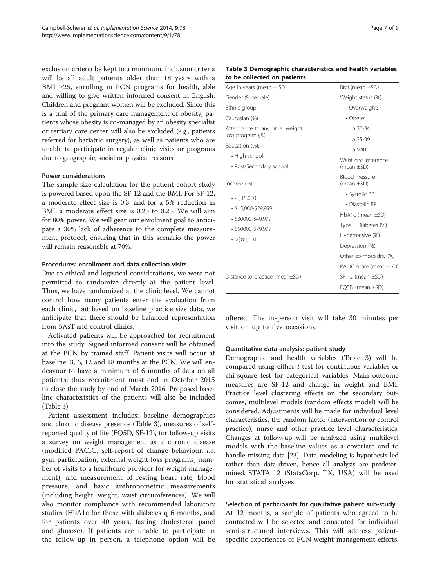exclusion criteria be kept to a minimum. Inclusion criteria will be all adult patients older than 18 years with a BMI ≥25, enrolling in PCN programs for health, able and willing to give written informed consent in English. Children and pregnant women will be excluded. Since this is a trial of the primary care management of obesity, patients whose obesity is co-managed by an obesity specialist or tertiary care center will also be excluded (e.g., patients referred for bariatric surgery), as well as patients who are unable to participate in regular clinic visits or programs due to geographic, social or physical reasons.

# Power considerations

The sample size calculation for the patient cohort study is powered based upon the SF-12 and the BMI. For SF-12, a moderate effect size is 0.3, and for a 5% reduction in BMI, a moderate effect size is 0.23 to 0.25. We will aim for 80% power. We will gear our enrolment goal to anticipate a 30% lack of adherence to the complete measurement protocol, ensuring that in this scenario the power will remain reasonable at 70%.

# Procedures: enrollment and data collection visits

Due to ethical and logistical considerations, we were not permitted to randomize directly at the patient level. Thus, we have randomized at the clinic level. We cannot control how many patients enter the evaluation from each clinic, but based on baseline practice size data, we anticipate that there should be balanced representation from 5AsT and control clinics.

Activated patients will be approached for recruitment into the study. Signed informed consent will be obtained at the PCN by trained staff. Patient visits will occur at baseline, 3, 6, 12 and 18 months at the PCN. We will endeavour to have a minimum of 6 months of data on all patients; thus recruitment must end in October 2015 to close the study by end of March 2016. Proposed baseline characteristics of the patients will also be included (Table 3).

Patient assessment includes: baseline demographics and chronic disease presence (Table 3), measures of selfreported quality of life (EQ5D, SF-12), for follow-up visits a survey on weight management as a chronic disease (modified PACIC, self-report of change behaviour, i.e. gym participation, external weight loss programs, number of visits to a healthcare provider for weight management), and measurement of resting heart rate, blood pressure, and basic anthropometric measurements (including height, weight, waist circumferences). We will also monitor compliance with recommended laboratory studies (HbA1c for those with diabetes q 6 months, and for patients over 40 years, fasting cholesterol panel and glucose). If patients are unable to participate in the follow-up in person, a telephone option will be

## Table 3 Demographic characteristics and health variables to be collected on patients

| Age in years (mean $\pm$ SD)                       | BMI (mean $\pm$ SD)                      |
|----------------------------------------------------|------------------------------------------|
| Gender (% female)                                  | Weight status (%):                       |
| Ethnic group:                                      | • Overweight:                            |
| Caucasian (%)                                      | • Obese:                                 |
| Attendance to any other weight<br>loss program (%) | $0.30 - 34$                              |
| Education (%):                                     | $0.35 - 39$                              |
| • High school                                      | 0 > 40                                   |
| • Post-Secondary school                            | Waist circumference<br>(mean $\pm$ SD)   |
| Income (%):                                        | <b>Blood Pressure</b><br>(mean $\pm$ SD) |
| $\cdot$ <\$15,000                                  | • Systolic BP                            |
| $\cdot$ \$15,000-\$29,999                          | • Diastolic BP                           |
| $\cdot$ \$30000-\$49,999                           | $HbA1c$ (mean $\pm SD$ )                 |
| $\cdot$ \$50000-\$79,999                           | Type II Diabetes (%)                     |
| $\cdot$ >\$80.000                                  | Hypertensive (%)                         |
|                                                    | Depression (%)                           |
|                                                    | Other co-morbidity (%)                   |
|                                                    | PACIC score (mean $\pm$ SD)              |
| Distance to practice (mean±SD)                     | $SF-12$ (mean $\pm SD$ )                 |
|                                                    | EQ5D (mean $\pm$ SD)                     |
|                                                    |                                          |

offered. The in-person visit will take 30 minutes per visit on up to five occasions.

#### Quantitative data analysis: patient study

Demographic and health variables (Table 3) will be compared using either t-test for continuous variables or chi-square test for categorical variables. Main outcome measures are SF-12 and change in weight and BMI. Practice level clustering effects on the secondary outcomes, multilevel models (random effects model) will be considered. Adjustments will be made for individual level characteristics, the random factor (intervention or control practice), nurse and other practice level characteristics. Changes at follow-up will be analyzed using multilevel models with the baseline values as a covariate and to handle missing data [\[23\]](#page-8-0). Data modeling is hypothesis-led rather than data-driven, hence all analysis are predetermined. STATA 12 (StataCorp, TX, USA) will be used for statistical analyses.

# Selection of participants for qualitative patient sub-study

At 12 months, a sample of patients who agreed to be contacted will be selected and consented for individual semi-structured interviews. This will address patientspecific experiences of PCN weight management efforts.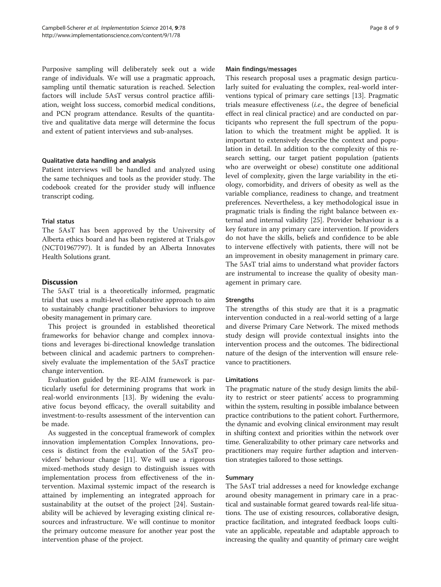Purposive sampling will deliberately seek out a wide range of individuals. We will use a pragmatic approach, sampling until thematic saturation is reached. Selection factors will include 5AsT versus control practice affiliation, weight loss success, comorbid medical conditions, and PCN program attendance. Results of the quantitative and qualitative data merge will determine the focus and extent of patient interviews and sub-analyses.

# Qualitative data handling and analysis

Patient interviews will be handled and analyzed using the same techniques and tools as the provider study. The codebook created for the provider study will influence transcript coding.

# Trial status

The 5AsT has been approved by the University of Alberta ethics board and has been registered at Trials.gov (NCT01967797). It is funded by an Alberta Innovates Health Solutions grant.

# **Discussion**

The 5AsT trial is a theoretically informed, pragmatic trial that uses a multi-level collaborative approach to aim to sustainably change practitioner behaviors to improve obesity management in primary care.

This project is grounded in established theoretical frameworks for behavior change and complex innovations and leverages bi-directional knowledge translation between clinical and academic partners to comprehensively evaluate the implementation of the 5AsT practice change intervention.

Evaluation guided by the RE-AIM framework is particularly useful for determining programs that work in real-world environments [[13\]](#page-8-0). By widening the evaluative focus beyond efficacy, the overall suitability and investment-to-results assessment of the intervention can be made.

As suggested in the conceptual framework of complex innovation implementation Complex Innovations, process is distinct from the evaluation of the 5AsT providers' behaviour change [[11\]](#page-8-0). We will use a rigorous mixed-methods study design to distinguish issues with implementation process from effectiveness of the intervention. Maximal systemic impact of the research is attained by implementing an integrated approach for sustainability at the outset of the project [[24\]](#page-8-0). Sustainability will be achieved by leveraging existing clinical resources and infrastructure. We will continue to monitor the primary outcome measure for another year post the intervention phase of the project.

#### Main findings/messages

This research proposal uses a pragmatic design particularly suited for evaluating the complex, real-world interventions typical of primary care settings [[13\]](#page-8-0). Pragmatic trials measure effectiveness (i.e., the degree of beneficial effect in real clinical practice) and are conducted on participants who represent the full spectrum of the population to which the treatment might be applied. It is important to extensively describe the context and population in detail. In addition to the complexity of this research setting, our target patient population (patients who are overweight or obese) constitute one additional level of complexity, given the large variability in the etiology, comorbidity, and drivers of obesity as well as the variable compliance, readiness to change, and treatment preferences. Nevertheless, a key methodological issue in pragmatic trials is finding the right balance between external and internal validity [[25](#page-8-0)]. Provider behaviour is a key feature in any primary care intervention. If providers do not have the skills, beliefs and confidence to be able to intervene effectively with patients, there will not be an improvement in obesity management in primary care. The 5AsT trial aims to understand what provider factors are instrumental to increase the quality of obesity management in primary care.

#### **Strengths**

The strengths of this study are that it is a pragmatic intervention conducted in a real-world setting of a large and diverse Primary Care Network. The mixed methods study design will provide contextual insights into the intervention process and the outcomes. The bidirectional nature of the design of the intervention will ensure relevance to practitioners.

# Limitations

The pragmatic nature of the study design limits the ability to restrict or steer patients' access to programming within the system, resulting in possible imbalance between practice contributions to the patient cohort. Furthermore, the dynamic and evolving clinical environment may result in shifting context and priorities within the network over time. Generalizability to other primary care networks and practitioners may require further adaption and intervention strategies tailored to those settings.

## Summary

The 5AsT trial addresses a need for knowledge exchange around obesity management in primary care in a practical and sustainable format geared towards real-life situations. The use of existing resources, collaborative design, practice facilitation, and integrated feedback loops cultivate an applicable, repeatable and adaptable approach to increasing the quality and quantity of primary care weight